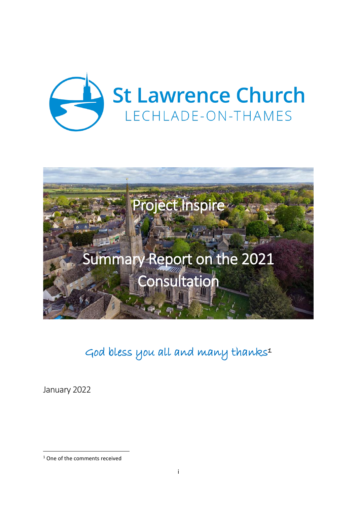



God bless you all and many thanks<sup>1</sup>

January 2022

<sup>&</sup>lt;sup>1</sup> One of the comments received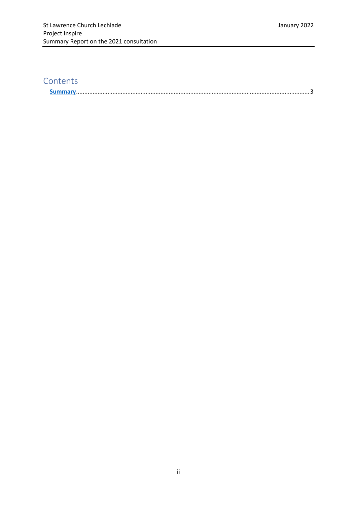# **Contents**

| <u>IMI Viittieteetteettiin erittävat ja saaristoon seisistävat valtaa sittemistelma valtaa sittävät sittävät sittävät si</u> |
|------------------------------------------------------------------------------------------------------------------------------|
|------------------------------------------------------------------------------------------------------------------------------|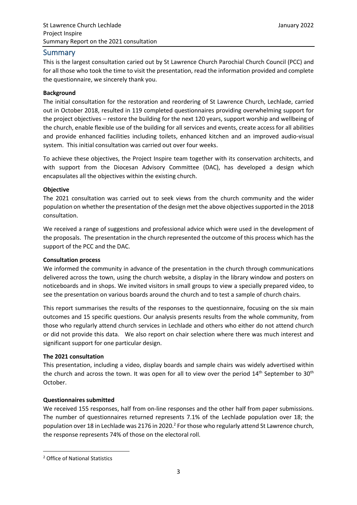# <span id="page-2-0"></span>Summary

This is the largest consultation caried out by St Lawrence Church Parochial Church Council (PCC) and for all those who took the time to visit the presentation, read the information provided and complete the questionnaire, we sincerely thank you.

# **Background**

The initial consultation for the restoration and reordering of St Lawrence Church, Lechlade, carried out in October 2018, resulted in 119 completed questionnaires providing overwhelming support for the project objectives – restore the building for the next 120 years, support worship and wellbeing of the church, enable flexible use of the building for all services and events, create access for all abilities and provide enhanced facilities including toilets, enhanced kitchen and an improved audio-visual system. This initial consultation was carried out over four weeks.

To achieve these objectives, the Project Inspire team together with its conservation architects, and with support from the Diocesan Advisory Committee (DAC), has developed a design which encapsulates all the objectives within the existing church.

# **Objective**

The 2021 consultation was carried out to seek views from the church community and the wider population on whether the presentation of the design met the above objectives supported in the 2018 consultation.

We received a range of suggestions and professional advice which were used in the development of the proposals. The presentation in the church represented the outcome of this process which has the support of the PCC and the DAC.

# **Consultation process**

We informed the community in advance of the presentation in the church through communications delivered across the town, using the church website, a display in the library window and posters on noticeboards and in shops. We invited visitors in small groups to view a specially prepared video, to see the presentation on various boards around the church and to test a sample of church chairs.

This report summarises the results of the responses to the questionnaire, focusing on the six main outcomes and 15 specific questions. Our analysis presents results from the whole community, from those who regularly attend church services in Lechlade and others who either do not attend church or did not provide this data. We also report on chair selection where there was much interest and significant support for one particular design.

# **The 2021 consultation**

This presentation, including a video, display boards and sample chairs was widely advertised within the church and across the town. It was open for all to view over the period  $14<sup>th</sup>$  September to  $30<sup>th</sup>$ October.

# **Questionnaires submitted**

We received 155 responses, half from on-line responses and the other half from paper submissions. The number of questionnaires returned represents 7.1% of the Lechlade population over 18; the population over 18 in Lechlade was 2176 in 2020.<sup>2</sup> For those who regularly attend St Lawrence church, the response represents 74% of those on the electoral roll.

<sup>2</sup> Office of National Statistics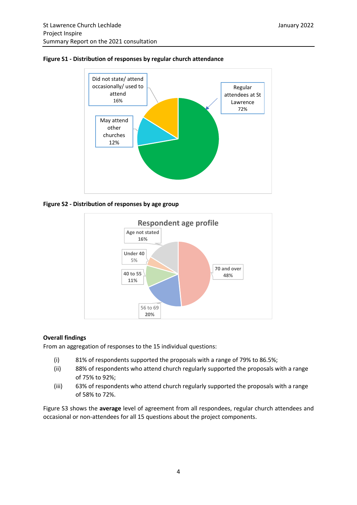

#### **Figure S1 - Distribution of responses by regular church attendance**





#### **Overall findings**

From an aggregation of responses to the 15 individual questions:

- (i) 81% of respondents supported the proposals with a range of 79% to 86.5%;
- (ii) 88% of respondents who attend church regularly supported the proposals with a range of 75% to 92%;
- (iii) 63% of respondents who attend church regularly supported the proposals with a range of 58% to 72%.

Figure S3 shows the **average** level of agreement from all respondees, regular church attendees and occasional or non-attendees for all 15 questions about the project components.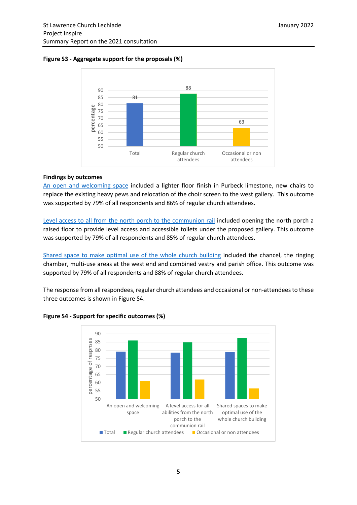# **Figure S3 - Aggregate support for the proposals (%)**



# **Findings by outcomes**

An open and welcoming space included a lighter floor finish in Purbeck limestone, new chairs to replace the existing heavy pews and relocation of the choir screen to the west gallery. This outcome was supported by 79% of all respondents and 86% of regular church attendees.

Level access to all from the north porch to the communion rail included opening the north porch a raised floor to provide level access and accessible toilets under the proposed gallery. This outcome was supported by 79% of all respondents and 85% of regular church attendees.

Shared space to make optimal use of the whole church building included the chancel, the ringing chamber, multi-use areas at the west end and combined vestry and parish office. This outcome was supported by 79% of all respondents and 88% of regular church attendees.

The response from all respondees, regular church attendees and occasional or non-attendees to these three outcomes is shown in Figure S4.



**Figure S4 - Support for specific outcomes (%)**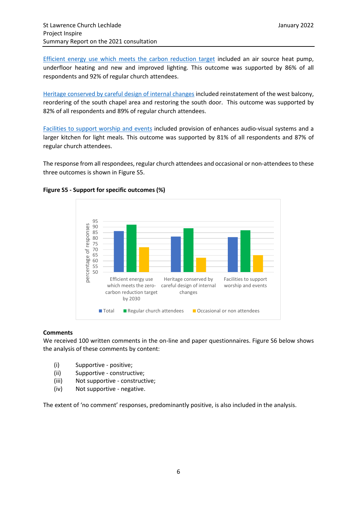Efficient energy use which meets the carbon reduction target included an air source heat pump, underfloor heating and new and improved lighting. This outcome was supported by 86% of all respondents and 92% of regular church attendees.

Heritage conserved by careful design of internal changes included reinstatement of the west balcony, reordering of the south chapel area and restoring the south door. This outcome was supported by 82% of all respondents and 89% of regular church attendees.

Facilities to support worship and events included provision of enhances audio-visual systems and a larger kitchen for light meals. This outcome was supported by 81% of all respondents and 87% of regular church attendees.

The response from all respondees, regular church attendees and occasional or non-attendees to these three outcomes is shown in Figure S5.



# **Figure S5 - Support for specific outcomes (%)**

# **Comments**

We received 100 written comments in the on-line and paper questionnaires. Figure S6 below shows the analysis of these comments by content:

- (i) Supportive positive;
- (ii) Supportive constructive;
- (iii) Not supportive constructive;
- (iv) Not supportive negative.

The extent of 'no comment' responses, predominantly positive, is also included in the analysis.